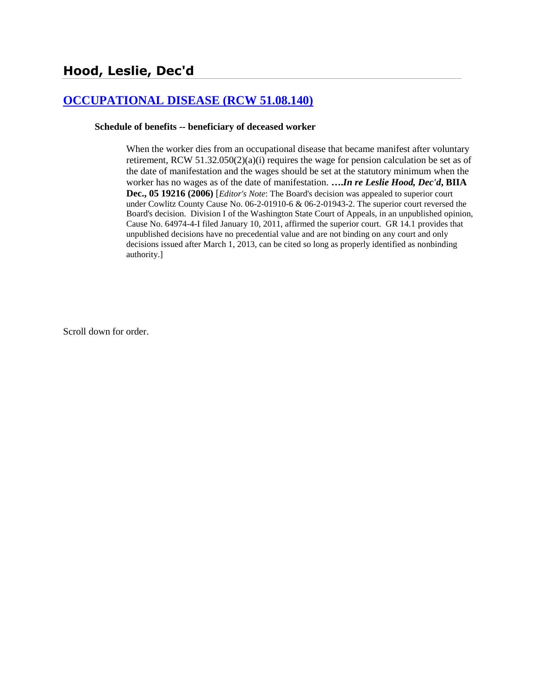### **[OCCUPATIONAL DISEASE \(RCW 51.08.140\)](http://www.biia.wa.gov/SDSubjectIndex.html#OCCUPATIONAL_DISEASE)**

#### **Schedule of benefits -- beneficiary of deceased worker**

When the worker dies from an occupational disease that became manifest after voluntary retirement, RCW 51.32.050(2)(a)(i) requires the wage for pension calculation be set as of the date of manifestation and the wages should be set at the statutory minimum when the worker has no wages as of the date of manifestation. **….***In re Leslie Hood, Dec'd***, BIIA Dec., 05 19216 (2006)** [*Editor's Note*: The Board's decision was appealed to superior court under Cowlitz County Cause No. 06-2-01910-6 & 06-2-01943-2. The superior court reversed the Board's decision. Division I of the Washington State Court of Appeals, in an unpublished opinion, Cause No. 64974-4-I filed January 10, 2011, affirmed the superior court. GR 14.1 provides that unpublished decisions have no precedential value and are not binding on any court and only decisions issued after March 1, 2013, can be cited so long as properly identified as nonbinding authority.]

Scroll down for order.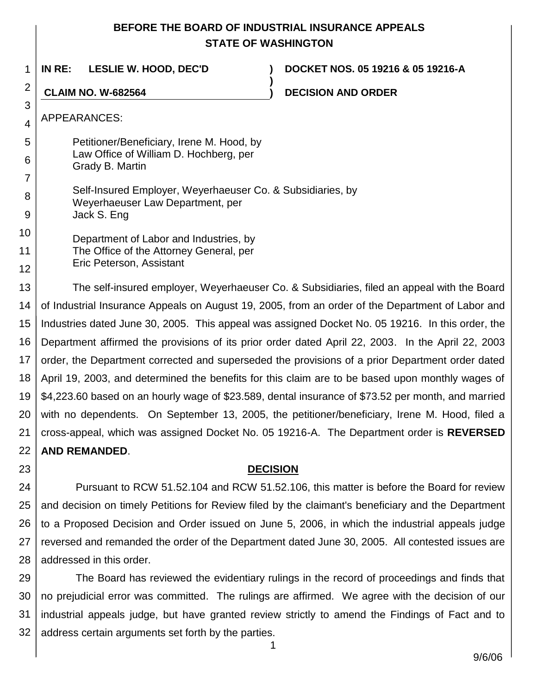# **BEFORE THE BOARD OF INDUSTRIAL INSURANCE APPEALS STATE OF WASHINGTON**

**)**

1

**IN RE: LESLIE W. HOOD, DEC'D ) DOCKET NOS. 05 19216 & 05 19216-A**

**CLAIM NO. W-682564 ) DECISION AND ORDER**

APPEARANCES:

2

3

4

- 5 6 Petitioner/Beneficiary, Irene M. Hood, by Law Office of William D. Hochberg, per Grady B. Martin
- 7 8 Self-Insured Employer, Weyerhaeuser Co. & Subsidiaries, by Weyerhaeuser Law Department, per
- 9 Jack S. Eng
- 10 11 Department of Labor and Industries, by The Office of the Attorney General, per
- 12 Eric Peterson, Assistant

13 14 15 16 17 18 19 20 21 22 The self-insured employer, Weyerhaeuser Co. & Subsidiaries, filed an appeal with the Board of Industrial Insurance Appeals on August 19, 2005, from an order of the Department of Labor and Industries dated June 30, 2005. This appeal was assigned Docket No. 05 19216. In this order, the Department affirmed the provisions of its prior order dated April 22, 2003. In the April 22, 2003 order, the Department corrected and superseded the provisions of a prior Department order dated April 19, 2003, and determined the benefits for this claim are to be based upon monthly wages of \$4,223.60 based on an hourly wage of \$23.589, dental insurance of \$73.52 per month, and married with no dependents. On September 13, 2005, the petitioner/beneficiary, Irene M. Hood, filed a cross-appeal, which was assigned Docket No. 05 19216-A. The Department order is **REVERSED AND REMANDED**.

23

# **DECISION**

24 25 26 27 28 Pursuant to RCW 51.52.104 and RCW 51.52.106, this matter is before the Board for review and decision on timely Petitions for Review filed by the claimant's beneficiary and the Department to a Proposed Decision and Order issued on June 5, 2006, in which the industrial appeals judge reversed and remanded the order of the Department dated June 30, 2005. All contested issues are addressed in this order.

29 30 31 32 The Board has reviewed the evidentiary rulings in the record of proceedings and finds that no prejudicial error was committed. The rulings are affirmed. We agree with the decision of our industrial appeals judge, but have granted review strictly to amend the Findings of Fact and to address certain arguments set forth by the parties.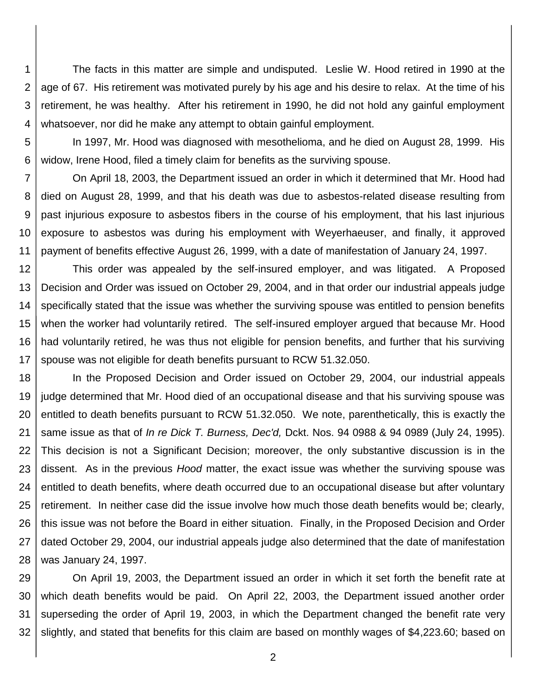1 2 3 4 The facts in this matter are simple and undisputed. Leslie W. Hood retired in 1990 at the age of 67. His retirement was motivated purely by his age and his desire to relax. At the time of his retirement, he was healthy. After his retirement in 1990, he did not hold any gainful employment whatsoever, nor did he make any attempt to obtain gainful employment.

5 6 In 1997, Mr. Hood was diagnosed with mesothelioma, and he died on August 28, 1999. His widow, Irene Hood, filed a timely claim for benefits as the surviving spouse.

7 8 9 10 11 On April 18, 2003, the Department issued an order in which it determined that Mr. Hood had died on August 28, 1999, and that his death was due to asbestos-related disease resulting from past injurious exposure to asbestos fibers in the course of his employment, that his last injurious exposure to asbestos was during his employment with Weyerhaeuser, and finally, it approved payment of benefits effective August 26, 1999, with a date of manifestation of January 24, 1997.

12 13 14 15 16 17 This order was appealed by the self-insured employer, and was litigated. A Proposed Decision and Order was issued on October 29, 2004, and in that order our industrial appeals judge specifically stated that the issue was whether the surviving spouse was entitled to pension benefits when the worker had voluntarily retired. The self-insured employer argued that because Mr. Hood had voluntarily retired, he was thus not eligible for pension benefits, and further that his surviving spouse was not eligible for death benefits pursuant to RCW 51.32.050.

18 19 20 21 22 23 24 25 26 27 28 In the Proposed Decision and Order issued on October 29, 2004, our industrial appeals judge determined that Mr. Hood died of an occupational disease and that his surviving spouse was entitled to death benefits pursuant to RCW 51.32.050. We note, parenthetically, this is exactly the same issue as that of *In re Dick T. Burness, Dec'd,* Dckt. Nos. 94 0988 & 94 0989 (July 24, 1995). This decision is not a Significant Decision; moreover, the only substantive discussion is in the dissent. As in the previous *Hood* matter, the exact issue was whether the surviving spouse was entitled to death benefits, where death occurred due to an occupational disease but after voluntary retirement. In neither case did the issue involve how much those death benefits would be; clearly, this issue was not before the Board in either situation. Finally, in the Proposed Decision and Order dated October 29, 2004, our industrial appeals judge also determined that the date of manifestation was January 24, 1997.

29 30 31 32 On April 19, 2003, the Department issued an order in which it set forth the benefit rate at which death benefits would be paid. On April 22, 2003, the Department issued another order superseding the order of April 19, 2003, in which the Department changed the benefit rate very slightly, and stated that benefits for this claim are based on monthly wages of \$4,223.60; based on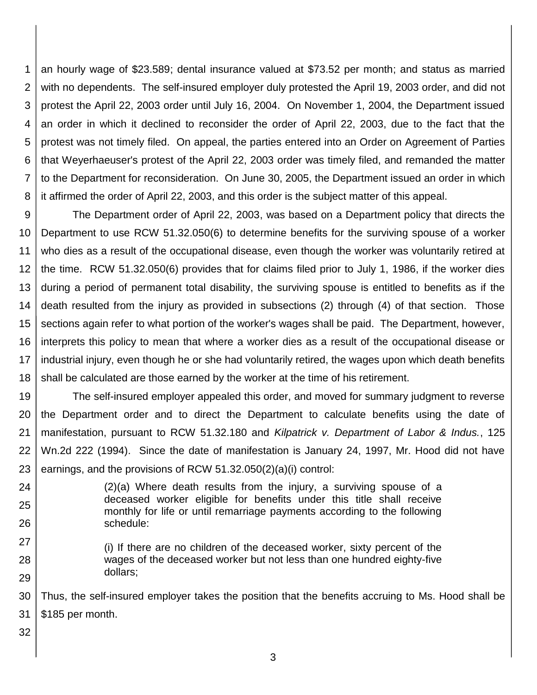1 2 3 4 5 6 7 8 an hourly wage of \$23.589; dental insurance valued at \$73.52 per month; and status as married with no dependents. The self-insured employer duly protested the April 19, 2003 order, and did not protest the April 22, 2003 order until July 16, 2004. On November 1, 2004, the Department issued an order in which it declined to reconsider the order of April 22, 2003, due to the fact that the protest was not timely filed. On appeal, the parties entered into an Order on Agreement of Parties that Weyerhaeuser's protest of the April 22, 2003 order was timely filed, and remanded the matter to the Department for reconsideration. On June 30, 2005, the Department issued an order in which it affirmed the order of April 22, 2003, and this order is the subject matter of this appeal.

9 10 11 12 13 14 15 16 17 18 The Department order of April 22, 2003, was based on a Department policy that directs the Department to use RCW 51.32.050(6) to determine benefits for the surviving spouse of a worker who dies as a result of the occupational disease, even though the worker was voluntarily retired at the time. RCW 51.32.050(6) provides that for claims filed prior to July 1, 1986, if the worker dies during a period of permanent total disability, the surviving spouse is entitled to benefits as if the death resulted from the injury as provided in subsections (2) through (4) of that section. Those sections again refer to what portion of the worker's wages shall be paid. The Department, however, interprets this policy to mean that where a worker dies as a result of the occupational disease or industrial injury, even though he or she had voluntarily retired, the wages upon which death benefits shall be calculated are those earned by the worker at the time of his retirement.

19 20 21 22 23 The self-insured employer appealed this order, and moved for summary judgment to reverse the Department order and to direct the Department to calculate benefits using the date of manifestation, pursuant to RCW 51.32.180 and *Kilpatrick v. Department of Labor & Indus.*, 125 Wn.2d 222 (1994). Since the date of manifestation is January 24, 1997, Mr. Hood did not have earnings, and the provisions of RCW 51.32.050(2)(a)(i) control:

- 24 25 26 (2)(a) Where death results from the injury, a surviving spouse of a deceased worker eligible for benefits under this title shall receive monthly for life or until remarriage payments according to the following schedule:
	- (i) If there are no children of the deceased worker, sixty percent of the wages of the deceased worker but not less than one hundred eighty-five dollars;

30 31 Thus, the self-insured employer takes the position that the benefits accruing to Ms. Hood shall be \$185 per month.

32

27

28

29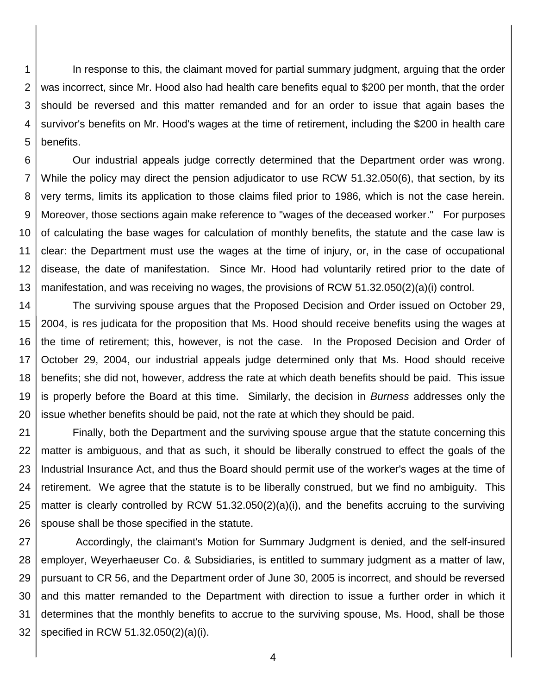1 2 3 4 5 In response to this, the claimant moved for partial summary judgment, arguing that the order was incorrect, since Mr. Hood also had health care benefits equal to \$200 per month, that the order should be reversed and this matter remanded and for an order to issue that again bases the survivor's benefits on Mr. Hood's wages at the time of retirement, including the \$200 in health care benefits.

6 7 8 9 10 11 12 13 Our industrial appeals judge correctly determined that the Department order was wrong. While the policy may direct the pension adjudicator to use RCW 51.32.050(6), that section, by its very terms, limits its application to those claims filed prior to 1986, which is not the case herein. Moreover, those sections again make reference to "wages of the deceased worker." For purposes of calculating the base wages for calculation of monthly benefits, the statute and the case law is clear: the Department must use the wages at the time of injury, or, in the case of occupational disease, the date of manifestation. Since Mr. Hood had voluntarily retired prior to the date of manifestation, and was receiving no wages, the provisions of RCW 51.32.050(2)(a)(i) control.

14 15 16 17 18 19 20 The surviving spouse argues that the Proposed Decision and Order issued on October 29, 2004, is res judicata for the proposition that Ms. Hood should receive benefits using the wages at the time of retirement; this, however, is not the case. In the Proposed Decision and Order of October 29, 2004, our industrial appeals judge determined only that Ms. Hood should receive benefits; she did not, however, address the rate at which death benefits should be paid. This issue is properly before the Board at this time. Similarly, the decision in *Burness* addresses only the issue whether benefits should be paid, not the rate at which they should be paid.

21 22 23 24 25 26 Finally, both the Department and the surviving spouse argue that the statute concerning this matter is ambiguous, and that as such, it should be liberally construed to effect the goals of the Industrial Insurance Act, and thus the Board should permit use of the worker's wages at the time of retirement. We agree that the statute is to be liberally construed, but we find no ambiguity. This matter is clearly controlled by RCW 51.32.050(2)(a)(i), and the benefits accruing to the surviving spouse shall be those specified in the statute.

27 28 29 30 31 32 Accordingly, the claimant's Motion for Summary Judgment is denied, and the self-insured employer, Weyerhaeuser Co. & Subsidiaries, is entitled to summary judgment as a matter of law, pursuant to CR 56, and the Department order of June 30, 2005 is incorrect, and should be reversed and this matter remanded to the Department with direction to issue a further order in which it determines that the monthly benefits to accrue to the surviving spouse, Ms. Hood, shall be those specified in RCW 51.32.050(2)(a)(i).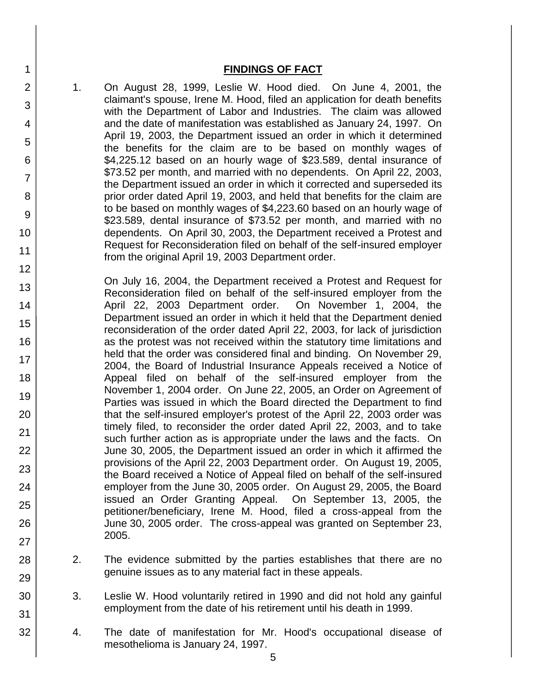#### **FINDINGS OF FACT**

1

2

3

4

5

6

7

8

9

10

11

12

13

14

15

16

17

18

19

20

21 22

23

24

25

26

27

28

29

30

31

- 1. On August 28, 1999, Leslie W. Hood died. On June 4, 2001, the claimant's spouse, Irene M. Hood, filed an application for death benefits with the Department of Labor and Industries. The claim was allowed and the date of manifestation was established as January 24, 1997. On April 19, 2003, the Department issued an order in which it determined the benefits for the claim are to be based on monthly wages of \$4,225.12 based on an hourly wage of \$23.589, dental insurance of \$73.52 per month, and married with no dependents. On April 22, 2003, the Department issued an order in which it corrected and superseded its prior order dated April 19, 2003, and held that benefits for the claim are to be based on monthly wages of \$4,223.60 based on an hourly wage of \$23.589, dental insurance of \$73.52 per month, and married with no dependents. On April 30, 2003, the Department received a Protest and Request for Reconsideration filed on behalf of the self-insured employer from the original April 19, 2003 Department order.
- On July 16, 2004, the Department received a Protest and Request for Reconsideration filed on behalf of the self-insured employer from the April 22, 2003 Department order. On November 1, 2004, the Department issued an order in which it held that the Department denied reconsideration of the order dated April 22, 2003, for lack of jurisdiction as the protest was not received within the statutory time limitations and held that the order was considered final and binding. On November 29, 2004, the Board of Industrial Insurance Appeals received a Notice of Appeal filed on behalf of the self-insured employer from the November 1, 2004 order. On June 22, 2005, an Order on Agreement of Parties was issued in which the Board directed the Department to find that the self-insured employer's protest of the April 22, 2003 order was timely filed, to reconsider the order dated April 22, 2003, and to take such further action as is appropriate under the laws and the facts. On June 30, 2005, the Department issued an order in which it affirmed the provisions of the April 22, 2003 Department order. On August 19, 2005, the Board received a Notice of Appeal filed on behalf of the self-insured employer from the June 30, 2005 order. On August 29, 2005, the Board issued an Order Granting Appeal. On September 13, 2005, the petitioner/beneficiary, Irene M. Hood, filed a cross-appeal from the June 30, 2005 order. The cross-appeal was granted on September 23, 2005.
	- 2. The evidence submitted by the parties establishes that there are no genuine issues as to any material fact in these appeals.
	- 3. Leslie W. Hood voluntarily retired in 1990 and did not hold any gainful employment from the date of his retirement until his death in 1999.
	- 4. The date of manifestation for Mr. Hood's occupational disease of mesothelioma is January 24, 1997.